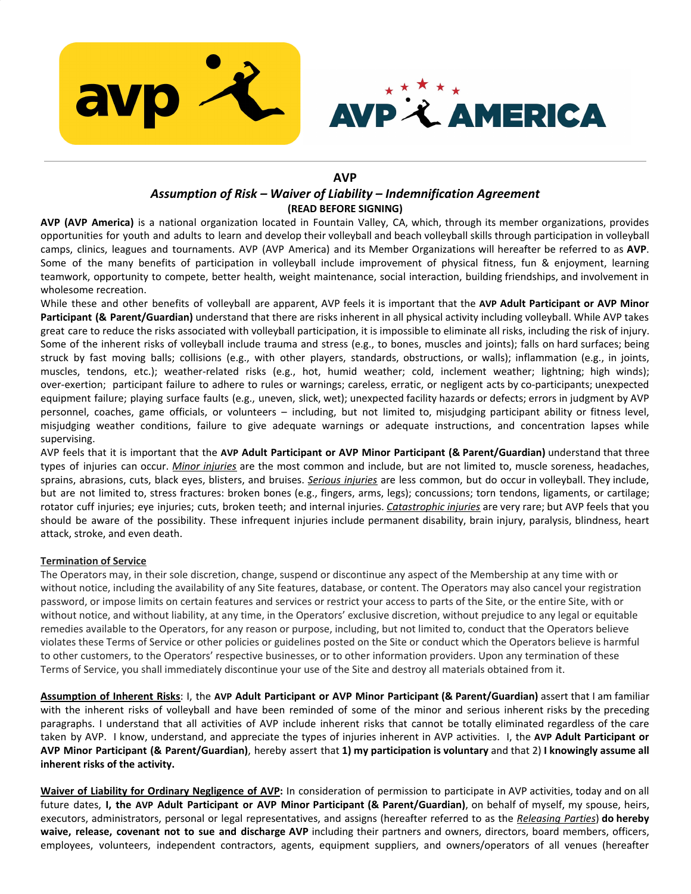



# **AVP**

# *Assumption of Risk – Waiver of Liability – Indemnification Agreement* **(READ BEFORE SIGNING)**

**AVP (AVP America)** is a national organization located in Fountain Valley, CA, which, through its member organizations, provides opportunities for youth and adults to learn and develop their volleyball and beach volleyball skills through participation in volleyball camps, clinics, leagues and tournaments. AVP (AVP America) and its Member Organizations will hereafter be referred to as **AVP**. Some of the many benefits of participation in volleyball include improvement of physical fitness, fun & enjoyment, learning teamwork, opportunity to compete, better health, weight maintenance, social interaction, building friendships, and involvement in wholesome recreation.

While these and other benefits of volleyball are apparent, AVP feels it is important that the **AVP Adult Participant or AVP Minor Participant (& Parent/Guardian)** understand that there are risks inherent in all physical activity including volleyball. While AVP takes great care to reduce the risks associated with volleyball participation, it is impossible to eliminate all risks, including the risk of injury. Some of the inherent risks of volleyball include trauma and stress (e.g., to bones, muscles and joints); falls on hard surfaces; being struck by fast moving balls; collisions (e.g., with other players, standards, obstructions, or walls); inflammation (e.g., in joints, muscles, tendons, etc.); weather-related risks (e.g., hot, humid weather; cold, inclement weather; lightning; high winds); over-exertion; participant failure to adhere to rules or warnings; careless, erratic, or negligent acts by co-participants; unexpected equipment failure; playing surface faults (e.g., uneven, slick, wet); unexpected facility hazards or defects; errors in judgment by AVP personnel, coaches, game officials, or volunteers – including, but not limited to, misjudging participant ability or fitness level, misjudging weather conditions, failure to give adequate warnings or adequate instructions, and concentration lapses while supervising.

AVP feels that it is important that the **AVP Adult Participant or AVP Minor Participant (& Parent/Guardian)** understand that three types of injuries can occur. *Minor injuries* are the most common and include, but are not limited to, muscle soreness, headaches, sprains, abrasions, cuts, black eyes, blisters, and bruises. *Serious injuries* are less common, but do occur in volleyball. They include, but are not limited to, stress fractures: broken bones (e.g., fingers, arms, legs); concussions; torn tendons, ligaments, or cartilage; rotator cuff injuries; eye injuries; cuts, broken teeth; and internal injuries. *Catastrophic injuries* are very rare; but AVP feels that you should be aware of the possibility. These infrequent injuries include permanent disability, brain injury, paralysis, blindness, heart attack, stroke, and even death.

### **Termination of Service**

The Operators may, in their sole discretion, change, suspend or discontinue any aspect of the Membership at any time with or without notice, including the availability of any Site features, database, or content. The Operators may also cancel your registration password, or impose limits on certain features and services or restrict your access to parts of the Site, or the entire Site, with or without notice, and without liability, at any time, in the Operators' exclusive discretion, without prejudice to any legal or equitable remedies available to the Operators, for any reason or purpose, including, but not limited to, conduct that the Operators believe violates these Terms of Service or other policies or guidelines posted on the Site or conduct which the Operators believe is harmful to other customers, to the Operators' respective businesses, or to other information providers. Upon any termination of these Terms of Service, you shall immediately discontinue your use of the Site and destroy all materials obtained from it.

**Assumption of Inherent Risks**: I, the **AVP Adult Participant or AVP Minor Participant (& Parent/Guardian)** assert that I am familiar with the inherent risks of volleyball and have been reminded of some of the minor and serious inherent risks by the preceding paragraphs. I understand that all activities of AVP include inherent risks that cannot be totally eliminated regardless of the care taken by AVP. I know, understand, and appreciate the types of injuries inherent in AVP activities. I, the **AVP Adult Participant or** AVP Minor Participant (& Parent/Guardian), hereby assert that 1) my participation is voluntary and that 2) I knowingly assume all **inherent risks of the activity.**

**Waiver of Liability for Ordinary Negligence of AVP:** In consideration of permission to participate in AVP activities, today and on all future dates, **I, the AVP Adult Participant or AVP Minor Participant (& Parent/Guardian)**, on behalf of myself, my spouse, heirs, executors, administrators, personal or legal representatives, and assigns (hereafter referred to as the *Releasing Parties*) **do hereby waive, release, covenant not to sue and discharge AVP** including their partners and owners, directors, board members, officers, employees, volunteers, independent contractors, agents, equipment suppliers, and owners/operators of all venues (hereafter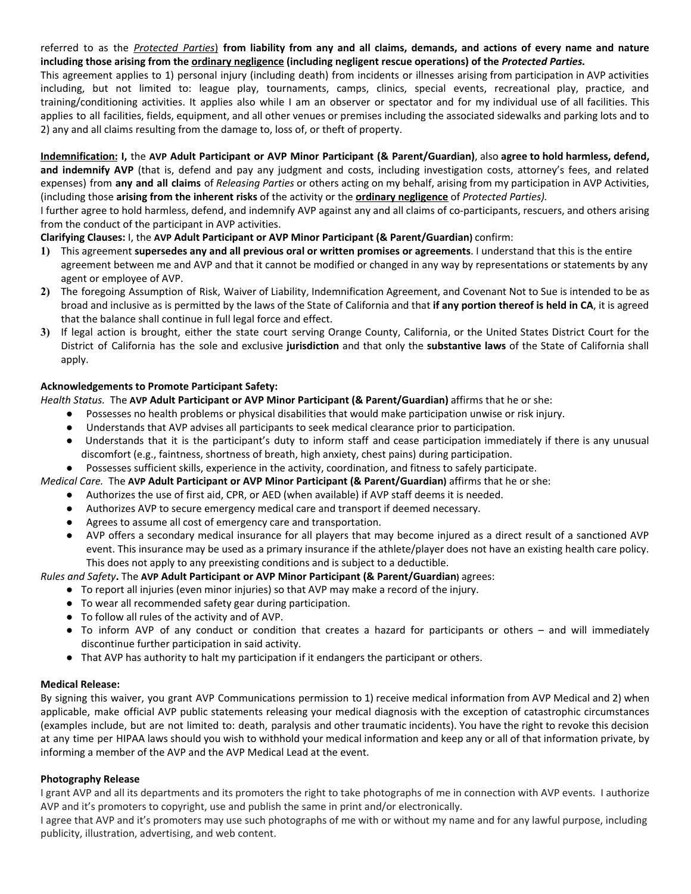## referred to as the Protected Parties) from liability from any and all claims, demands, and actions of every name and nature **including those arising from the ordinary negligence (including negligent rescue operations) of the** *Protected Parties.*

This agreement applies to 1) personal injury (including death) from incidents or illnesses arising from participation in AVP activities including, but not limited to: league play, tournaments, camps, clinics, special events, recreational play, practice, and training/conditioning activities. It applies also while I am an observer or spectator and for my individual use of all facilities. This applies to all facilities, fields, equipment, and all other venues or premises including the associated sidewalks and parking lots and to 2) any and all claims resulting from the damage to, loss of, or theft of property.

Indemnification: I, the AVP Adult Participant or AVP Minor Participant (& Parent/Guardian), also agree to hold harmless, defend, **and indemnify AVP** (that is, defend and pay any judgment and costs, including investigation costs, attorney's fees, and related expenses) from **any and all claims** of *Releasing Parties* or others acting on my behalf, arising from my participation in AVP Activities, (including those **arising from the inherent risks** of the activity or the **ordinary negligence** of *Protected Parties).*

I further agree to hold harmless, defend, and indemnify AVP against any and all claims of co-participants, rescuers, and others arising from the conduct of the participant in AVP activities.

## **Clarifying Clauses:** I, the **AVP Adult Participant or AVP Minor Participant (& Parent/Guardian)** confirm:

- **1)** This agreement **supersedes any and all previous oral or written promises or agreements**. I understand that this is the entire agreement between me and AVP and that it cannot be modified or changed in any way by representations or statements by any agent or employee of AVP.
- **2)** The foregoing Assumption of Risk, Waiver of Liability, Indemnification Agreement, and Covenant Not to Sue is intended to be as broad and inclusive as is permitted by the laws of the State of California and that **if any portion thereof is held in CA**, it is agreed that the balance shall continue in full legal force and effect.
- **3)** If legal action is brought, either the state court serving Orange County, California, or the United States District Court for the District of California has the sole and exclusive **jurisdiction** and that only the **substantive laws** of the State of California shall apply.

## **Acknowledgements to Promote Participant Safety:**

*Health Status.* The **AVP Adult Participant or AVP Minor Participant (& Parent/Guardian)** affirms that he or she:

- Possesses no health problems or physical disabilities that would make participation unwise or risk injury.
- Understands that AVP advises all participants to seek medical clearance prior to participation.
- Understands that it is the participant's duty to inform staff and cease participation immediately if there is any unusual discomfort (e.g., faintness, shortness of breath, high anxiety, chest pains) during participation.
- Possesses sufficient skills, experience in the activity, coordination, and fitness to safely participate.

*Medical Care.* The **AVP Adult Participant or AVP Minor Participant (& Parent/Guardian)** affirms that he or she:

- Authorizes the use of first aid, CPR, or AED (when available) if AVP staff deems it is needed.
- Authorizes AVP to secure emergency medical care and transport if deemed necessary.
- Agrees to assume all cost of emergency care and transportation.
- AVP offers a secondary medical insurance for all players that may become injured as a direct result of a sanctioned AVP event. This insurance may be used as a primary insurance if the athlete/player does not have an existing health care policy. This does not apply to any preexisting conditions and is subject to a deductible.

*Rules and Safety***.** The **AVP Adult Participant or AVP Minor Participant (& Parent/Guardian)** agrees:

- To report all injuries (even minor injuries) so that AVP may make a record of the injury.
- To wear all recommended safety gear during participation.
- To follow all rules of the activity and of AVP.
- To inform AVP of any conduct or condition that creates a hazard for participants or others and will immediately discontinue further participation in said activity.
- That AVP has authority to halt my participation if it endangers the participant or others.

### **Medical Release:**

By signing this waiver, you grant AVP Communications permission to 1) receive medical information from AVP Medical and 2) when applicable, make official AVP public statements releasing your medical diagnosis with the exception of catastrophic circumstances (examples include, but are not limited to: death, paralysis and other traumatic incidents). You have the right to revoke this decision at any time per HIPAA laws should you wish to withhold your medical information and keep any or all of that information private, by informing a member of the AVP and the AVP Medical Lead at the event.

### **Photography Release**

I grant AVP and all its departments and its promoters the right to take photographs of me in connection with AVP events. I authorize AVP and it's promoters to copyright, use and publish the same in print and/or electronically.

I agree that AVP and it's promoters may use such photographs of me with or without my name and for any lawful purpose, including publicity, illustration, advertising, and web content.